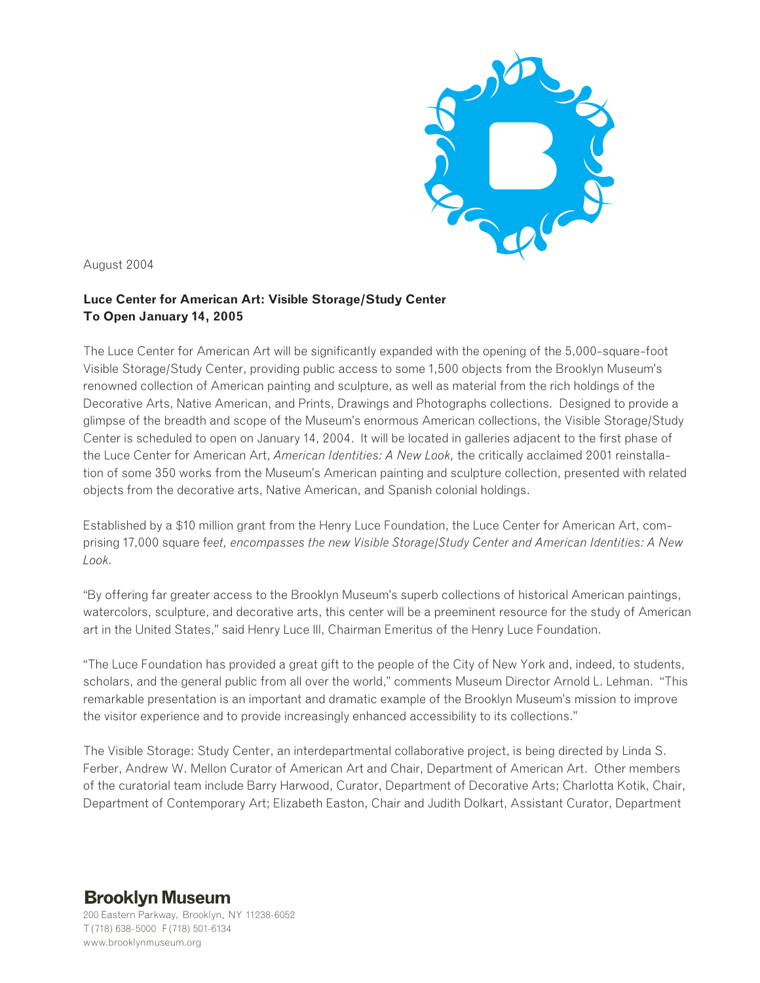

August 2004

## **Luce Center for American Art: Visible Storage/Study Center To Open January 14, 2005**

The Luce Center for American Art will be significantly expanded with the opening of the 5,000-square-foot Visible Storage/Study Center, providing public access to some 1,500 objects from the Brooklyn Museum's renowned collection of American painting and sculpture, as well as material from the rich holdings of the Decorative Arts, Native American, and Prints, Drawings and Photographs collections. Designed to provide a glimpse of the breadth and scope of the Museum's enormous American collections, the Visible Storage/Study Center is scheduled to open on January 14, 2004. It will be located in galleries adjacent to the first phase of the Luce Center for American Art, *American Identities: A New Look,* the critically acclaimed 2001 reinstallation of some 350 works from the Museum's American painting and sculpture collection, presented with related objects from the decorative arts, Native American, and Spanish colonial holdings.

Established by a \$10 million grant from the Henry Luce Foundation, the Luce Center for American Art, comprising 17,000 square f*eet, encompasses the new Visible Storage/Study Center and American Identities: A New Look.*

"By offering far greater access to the Brooklyn Museum's superb collections of historical American paintings, watercolors, sculpture, and decorative arts, this center will be a preeminent resource for the study of American art in the United States," said Henry Luce III, Chairman Emeritus of the Henry Luce Foundation.

"The Luce Foundation has provided a great gift to the people of the City of New York and, indeed, to students, scholars, and the general public from all over the world," comments Museum Director Arnold L. Lehman. "This remarkable presentation is an important and dramatic example of the Brooklyn Museum's mission to improve the visitor experience and to provide increasingly enhanced accessibility to its collections."

The Visible Storage: Study Center, an interdepartmental collaborative project, is being directed by Linda S. Ferber, Andrew W. Mellon Curator of American Art and Chair, Department of American Art. Other members of the curatorial team include Barry Harwood, Curator, Department of Decorative Arts; Charlotta Kotik, Chair, Department of Contemporary Art; Elizabeth Easton, Chair and Judith Dolkart, Assistant Curator, Department

## **Brooklyn Museum**

200 Eastern Parkway, Brooklyn, NY 11238-6052 T (718) 638-5000 F (718) 501-6134 www.brooklynmuseum.org